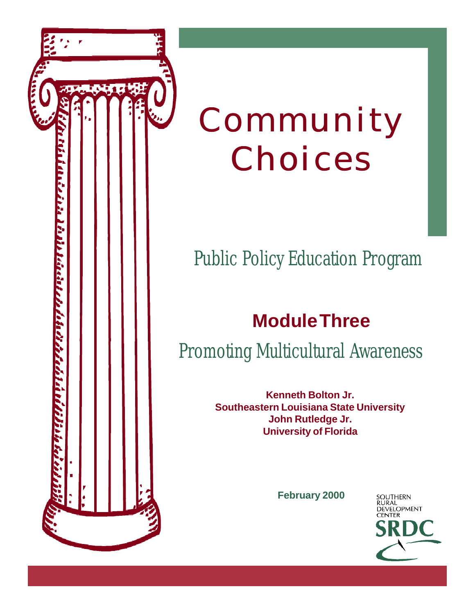

# Community Choices

## Public Policy Education Program

## **Module Three**

## Promoting Multicultural Awareness

**Kenneth Bolton Jr. Southeastern Louisiana State University John Rutledge Jr. University of Florida**

**February 2000**

SOUTHERN<br>RURAL<br>DEVELOPMENT **CENTER**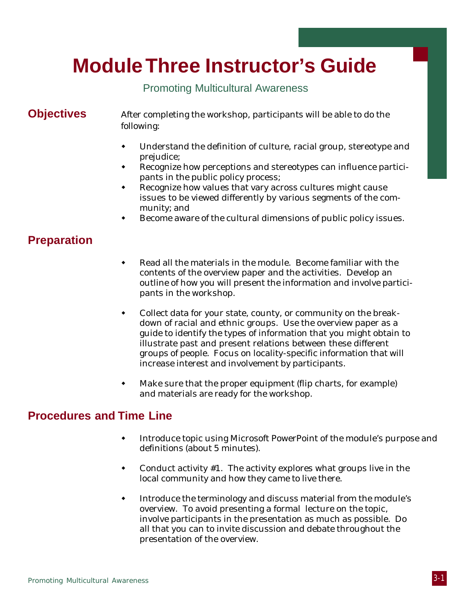## **Module Three Instructor's Guide**

## Promoting Multicultural Awareness

**Objectives** After completing the workshop, participants will be able to do the following:

- $\bullet$  Understand the definition of culture, racial group, stereotype and prejudice;
- Recognize how perceptions and stereotypes can influence participants in the public policy process;
- **\*** Recognize how values that vary across cultures might cause issues to be viewed differently by various segments of the community; and
- Become aware of the cultural dimensions of public policy issues.

## **Preparation**

- Read all the materials in the module. Become familiar with the contents of the overview paper and the activities. Develop an outline of how you will present the information and involve participants in the workshop.
- Collect data for your state, county, or community on the breakdown of racial and ethnic groups. Use the overview paper as a guide to identify the types of information that you might obtain to illustrate past and present relations between these different groups of people. Focus on locality-specific information that will increase interest and involvement by participants.
- $\bullet$  Make sure that the proper equipment (flip charts, for example) and materials are ready for the workshop.

## **Procedures and Time Line**

- Introduce topic using Microsoft PowerPoint of the module's purpose and definitions (about 5 minutes).
- Conduct activity  $#1$ . The activity explores what groups live in the local community and how they came to live there.
- $\bullet$  Introduce the terminology and discuss material from the module's overview. To avoid presenting a formal lecture on the topic, involve participants in the presentation as much as possible. Do all that you can to invite discussion and debate throughout the presentation of the overview.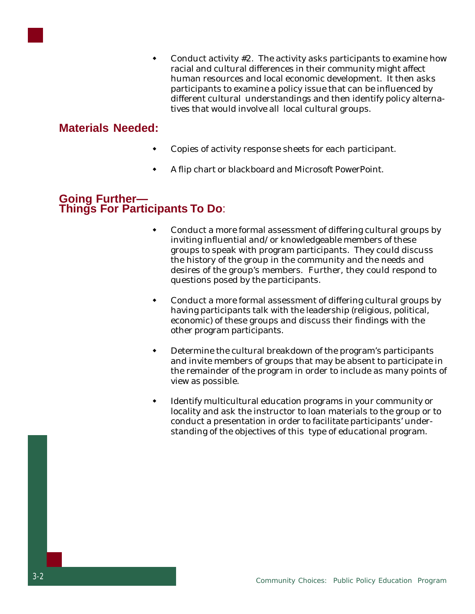

## **Materials Needed:**

- Copies of activity response sheets for each participant.
- A flip chart or blackboard and Microsoft PowerPoint.

## **Going Further— Things For Participants To Do**:

- Conduct a more formal assessment of differing cultural groups by inviting influential and/or knowledgeable members of these groups to speak with program participants. They could discuss the history of the group in the community and the needs and desires of the group's members. Further, they could respond to questions posed by the participants.
- Conduct a more formal assessment of differing cultural groups by having participants talk with the leadership (religious, political, economic) of these groups and discuss their findings with the other program participants.
- Determine the cultural breakdown of the program's participants and invite members of groups that may be absent to participate in the remainder of the program in order to include as many points of view as possible.
- Identify multicultural education programs in your community or locality and ask the instructor to loan materials to the group or to conduct a presentation in order to facilitate participants' understanding of the objectives of this type of educational program.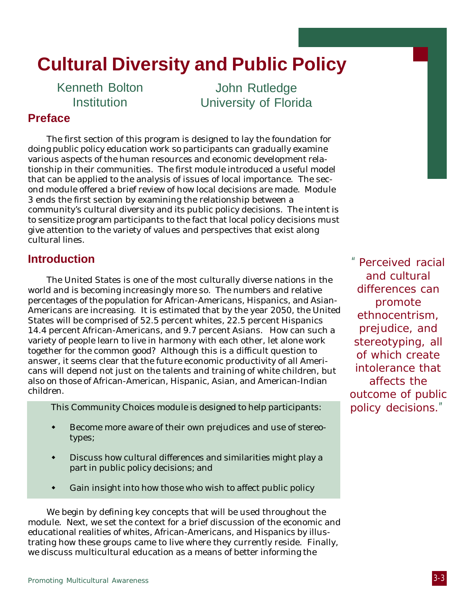## **Cultural Diversity and Public Policy**

Kenneth Bolton **Institution** 

John Rutledge University of Florida

### **Preface**

The first section of this program is designed to lay the foundation for doing public policy education work so participants can gradually examine various aspects of the human resources and economic development relationship in their communities. The first module introduced a useful model that can be applied to the analysis of issues of local importance. The second module offered a brief review of how local decisions are made. Module 3 ends the first section by examining the relationship between a community's cultural diversity and its public policy decisions. The intent is to sensitize program participants to the fact that local policy decisions must give attention to the variety of values and perspectives that exist along cultural lines.

### **Introduction**

The United States is one of the most culturally diverse nations in the world and is becoming increasingly more so. The numbers and relative percentages of the population for African-Americans, Hispanics, and Asian-Americans are increasing. It is estimated that by the year 2050, the United States will be comprised of 52.5 percent whites, 22.5 percent Hispanics 14.4 percent African-Americans, and 9.7 percent Asians. How can such a variety of people learn to live in harmony with each other, let alone work together for the common good? Although this is a difficult question to answer, it seems clear that the future economic productivity of all Americans will depend not just on the talents and training of white children, but also on those of African-American, Hispanic, Asian, and American-Indian children.

This Community Choices module is designed to help participants:

- Become more aware of their own prejudices and use of stereotypes;
- Discuss how cultural differences and similarities might play a part in public policy decisions; and
- Gain insight into how those who wish to affect public policy

We begin by defining key concepts that will be used throughout the module. Next, we set the context for a brief discussion of the economic and educational realities of whites, African-Americans, and Hispanics by illustrating how these groups came to live where they currently reside. Finally, we discuss multicultural education as a means of better informing the

"Perceived racial and cultural differences can promote ethnocentrism, prejudice, and stereotyping, all of which create intolerance that affects the outcome of public policy decisions."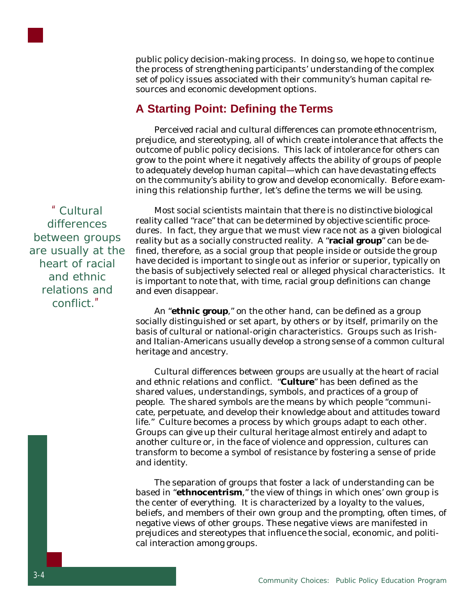

public policy decision-making process. In doing so, we hope to continue the process of strengthening participants' understanding of the complex set of policy issues associated with their community's human capital resources and economic development options.

## **A Starting Point: Defining the Terms**

Perceived racial and cultural differences can promote ethnocentrism, prejudice, and stereotyping, all of which create intolerance that affects the outcome of public policy decisions. This lack of intolerance for others can grow to the point where it negatively affects the ability of groups of people to adequately develop human capital—which can have devastating effects on the community's ability to grow and develop economically. Before examining this relationship further, let's define the terms we will be using.

"Cultural differences between groups are usually at the heart of racial and ethnic relations and conflict."

Most social scientists maintain that there is no distinctive biological reality called "race" that can be determined by objective scientific procedures. In fact, they argue that we must view race not as a given biological reality but as a socially constructed reality. A "**racial group**" can be defined, therefore, as a social group that people inside or outside the group have decided is important to single out as inferior or superior, typically on the basis of subjectively selected real or alleged physical characteristics. It is important to note that, with time, racial group definitions can change and even disappear.

An "**ethnic group**," on the other hand, can be defined as a group socially distinguished or set apart, by others or by itself, primarily on the basis of cultural or national-origin characteristics. Groups such as Irishand Italian-Americans usually develop a strong sense of a common cultural heritage and ancestry.

Cultural differences between groups are usually at the heart of racial and ethnic relations and conflict. "**Culture**" has been defined as the shared values, understandings, symbols, and practices of a group of people. The shared symbols are the means by which people "communicate, perpetuate, and develop their knowledge about and attitudes toward life." Culture becomes a process by which groups adapt to each other. Groups can give up their cultural heritage almost entirely and adapt to another culture or, in the face of violence and oppression, cultures can transform to become a symbol of resistance by fostering a sense of pride and identity.

The separation of groups that foster a lack of understanding can be based in "**ethnocentrism**," the view of things in which ones' own group is the center of everything. It is characterized by a loyalty to the values, beliefs, and members of their own group and the prompting, often times, of negative views of other groups. These negative views are manifested in prejudices and stereotypes that influence the social, economic, and political interaction among groups.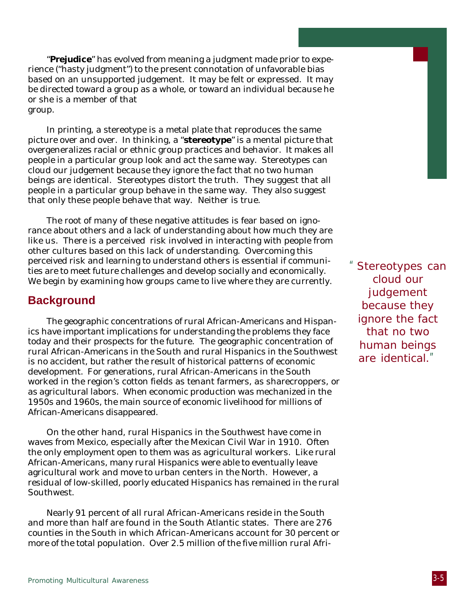"**Prejudice**" has evolved from meaning a judgment made prior to experience ("hasty judgment") to the present connotation of unfavorable bias based on an unsupported judgement. It may be felt or expressed. It may be directed toward a group as a whole, or toward an individual because he or she is a member of that group.

In printing, a stereotype is a metal plate that reproduces the same picture over and over. In thinking, a "**stereotype**" is a mental picture that overgeneralizes racial or ethnic group practices and behavior. It makes all people in a particular group look and act the same way. Stereotypes can cloud our judgement because they ignore the fact that no two human beings are identical. Stereotypes distort the truth. They suggest that all people in a particular group behave in the same way. They also suggest that only these people behave that way. Neither is true.

The root of many of these negative attitudes is fear based on ignorance about others and a lack of understanding about how much they are like us. There is a perceived risk involved in interacting with people from other cultures based on this lack of understanding. Overcoming this perceived risk and learning to understand others is essential if communities are to meet future challenges and develop socially and economically. We begin by examining how groups came to live where they are currently.

## **Background**

The geographic concentrations of rural African-Americans and Hispanics have important implications for understanding the problems they face today and their prospects for the future. The geographic concentration of rural African-Americans in the South and rural Hispanics in the Southwest is no accident, but rather the result of historical patterns of economic development. For generations, rural African-Americans in the South worked in the region's cotton fields as tenant farmers, as sharecroppers, or as agricultural labors. When economic production was mechanized in the 1950s and 1960s, the main source of economic livelihood for millions of African-Americans disappeared.

On the other hand, rural Hispanics in the Southwest have come in waves from Mexico, especially after the Mexican Civil War in 1910. Often the only employment open to them was as agricultural workers. Like rural African-Americans, many rural Hispanics were able to eventually leave agricultural work and move to urban centers in the North. However, a residual of low-skilled, poorly educated Hispanics has remained in the rural Southwest.

Nearly 91 percent of all rural African-Americans reside in the South and more than half are found in the South Atlantic states. There are 276 counties in the South in which African-Americans account for 30 percent or more of the total population. Over 2.5 million of the five million rural Afri"Stereotypes can cloud our judgement because they ignore the fact that no two human beings are identical."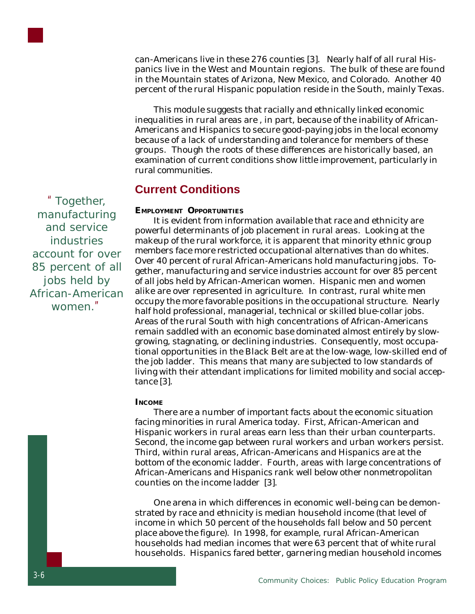can-Americans live in these 276 counties [3]. Nearly half of all rural Hispanics live in the West and Mountain regions. The bulk of these are found in the Mountain states of Arizona, New Mexico, and Colorado. Another 40 percent of the rural Hispanic population reside in the South, mainly Texas.

This module suggests that racially and ethnically linked economic inequalities in rural areas are , in part, because of the inability of African-Americans and Hispanics to secure good-paying jobs in the local economy because of a lack of understanding and tolerance for members of these groups. Though the roots of these differences are historically based, an examination of current conditions show little improvement, particularly in rural communities.

## **Current Conditions**

#### **EMPLOYMENT OPPORTUNITIES**

It is evident from information available that race and ethnicity are powerful determinants of job placement in rural areas. Looking at the makeup of the rural workforce, it is apparent that minority ethnic group members face more restricted occupational alternatives than do whites. Over 40 percent of rural African-Americans hold manufacturing jobs. Together, manufacturing and service industries account for over 85 percent of all jobs held by African-American women. Hispanic men and women alike are over represented in agriculture. In contrast, rural white men occupy the more favorable positions in the occupational structure. Nearly half hold professional, managerial, technical or skilled blue-collar jobs. Areas of the rural South with high concentrations of African-Americans remain saddled with an economic base dominated almost entirely by slowgrowing, stagnating, or declining industries. Consequently, most occupational opportunities in the Black Belt are at the low-wage, low-skilled end of the job ladder. This means that many are subjected to low standards of living with their attendant implications for limited mobility and social acceptance [3].

#### **INCOME**

There are a number of important facts about the economic situation facing minorities in rural America today. First, African-American and Hispanic workers in rural areas earn less than their urban counterparts. Second, the income gap between rural workers and urban workers persist. Third, within rural areas, African-Americans and Hispanics are at the bottom of the economic ladder. Fourth, areas with large concentrations of African-Americans and Hispanics rank well below other nonmetropolitan counties on the income ladder [3].

One arena in which differences in economic well-being can be demonstrated by race and ethnicity is median household income (that level of income in which 50 percent of the households fall below and 50 percent place above the figure). In 1998, for example, rural African-American households had median incomes that were 63 percent that of white rural households. Hispanics fared better, garnering median household incomes

"Together, manufacturing and service industries account for over 85 percent of all jobs held by African-American women."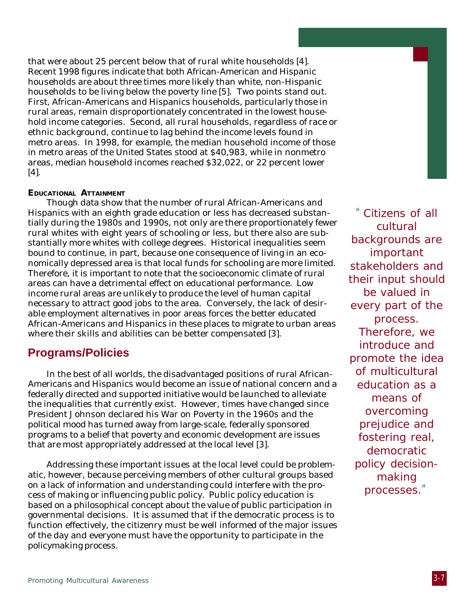that were about 25 percent below that of rural white households [4]. Recent 1998 figures indicate that both African-American and Hispanic households are about three times more likely than white, non-Hispanic households to be living below the poverty line [5]. Two points stand out. First, African-Americans and Hispanics households, particularly those in rural areas, remain disproportionately concentrated in the lowest household income categories. Second, all rural households, regardless of race or ethnic background, continue to lag behind the income levels found in metro areas. In 1998, for example, the median household income of those in metro areas of the United States stood at \$40,983, while in nonmetro areas, median household incomes reached \$32,022, or 22 percent lower [4].

#### **EDUCATIONAL ATTAINMENT**

Though data show that the number of rural African-Americans and Hispanics with an eighth grade education or less has decreased substantially during the 1980s and 1990s, not only are there proportionately fewer rural whites with eight years of schooling or less, but there also are substantially more whites with college degrees. Historical inequalities seem bound to continue, in part, because one consequence of living in an economically depressed area is that local funds for schooling are more limited. Therefore, it is important to note that the socioeconomic climate of rural areas can have a detrimental effect on educational performance. Low income rural areas are unlikely to produce the level of human capital necessary to attract good jobs to the area. Conversely, the lack of desirable employment alternatives in poor areas forces the better educated African-Americans and Hispanics in these places to migrate to urban areas where their skills and abilities can be better compensated [3].

### **Programs/Policies**

In the best of all worlds, the disadvantaged positions of rural African-Americans and Hispanics would become an issue of national concern and a federally directed and supported initiative would be launched to alleviate the inequalities that currently exist. However, times have changed since President Johnson declared his War on Poverty in the 1960s and the political mood has turned away from large-scale, federally sponsored programs to a belief that poverty and economic development are issues that are most appropriately addressed at the local level [3].

Addressing these important issues at the local level could be problematic, however, because perceiving members of other cultural groups based on a lack of information and understanding could interfere with the process of making or influencing public policy. Public policy education is based on a philosophical concept about the value of public participation in governmental decisions. It is assumed that if the democratic process is to function effectively, the citizenry must be well informed of the major issues of the day and everyone must have the opportunity to participate in the policymaking process.

"Citizens of all cultural backgrounds are important stakeholders and their input should be valued in every part of the process. Therefore, we introduce and promote the idea of multicultural education as a means of overcoming prejudice and fostering real, democratic policy decisionmaking processes."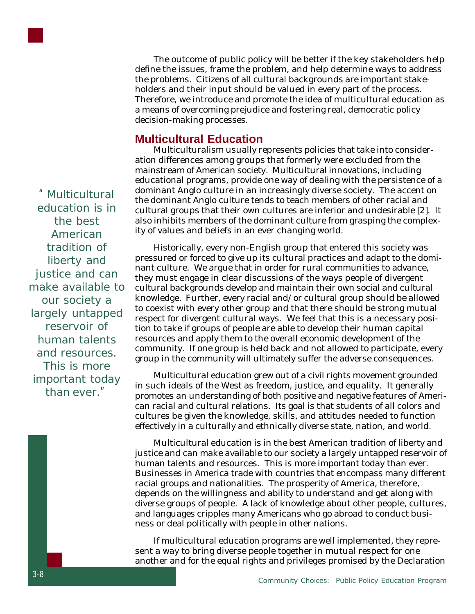

The outcome of public policy will be better if the key stakeholders help define the issues, frame the problem, and help determine ways to address the problems. Citizens of all cultural backgrounds are important stakeholders and their input should be valued in every part of the process. Therefore, we introduce and promote the idea of multicultural education as a means of overcoming prejudice and fostering real, democratic policy decision-making processes.

### **Multicultural Education**

Multiculturalism usually represents policies that take into consideration differences among groups that formerly were excluded from the mainstream of American society. Multicultural innovations, including educational programs, provide one way of dealing with the persistence of a dominant Anglo culture in an increasingly diverse society. The accent on the dominant Anglo culture tends to teach members of other racial and cultural groups that their own cultures are inferior and undesirable [2]. It also inhibits members of the dominant culture from grasping the complexity of values and beliefs in an ever changing world.

Historically, every non-English group that entered this society was pressured or forced to give up its cultural practices and adapt to the dominant culture. We argue that in order for rural communities to advance, they must engage in clear discussions of the ways people of divergent cultural backgrounds develop and maintain their own social and cultural knowledge. Further, every racial and/or cultural group should be allowed to coexist with every other group and that there should be strong mutual respect for divergent cultural ways. We feel that this is a necessary position to take if groups of people are able to develop their human capital resources and apply them to the overall economic development of the community. If one group is held back and not allowed to participate, every group in the community will ultimately suffer the adverse consequences.

Multicultural education grew out of a civil rights movement grounded in such ideals of the West as freedom, justice, and equality. It generally promotes an understanding of both positive and negative features of American racial and cultural relations. Its goal is that students of all colors and cultures be given the knowledge, skills, and attitudes needed to function effectively in a culturally and ethnically diverse state, nation, and world.

Multicultural education is in the best American tradition of liberty and justice and can make available to our society a largely untapped reservoir of human talents and resources. This is more important today than ever. Businesses in America trade with countries that encompass many different racial groups and nationalities. The prosperity of America, therefore, depends on the willingness and ability to understand and get along with diverse groups of people. A lack of knowledge about other people, cultures, and languages cripples many Americans who go abroad to conduct business or deal politically with people in other nations.

If multicultural education programs are well implemented, they represent a way to bring diverse people together in mutual respect for one another and for the equal rights and privileges promised by the Declaration

"Multicultural education is in the best American tradition of liberty and justice and can make available to our society a largely untapped reservoir of human talents and resources. This is more important today than ever."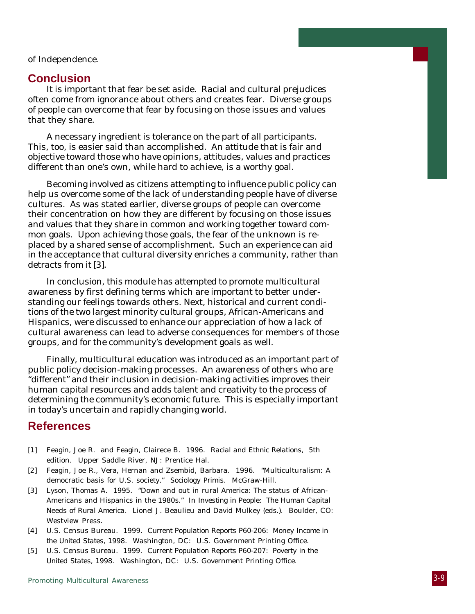of Independence.

### **Conclusion**

It is important that fear be set aside. Racial and cultural prejudices often come from ignorance about others and creates fear. Diverse groups of people can overcome that fear by focusing on those issues and values that they share.

A necessary ingredient is tolerance on the part of all participants. This, too, is easier said than accomplished. An attitude that is fair and objective toward those who have opinions, attitudes, values and practices different than one's own, while hard to achieve, is a worthy goal.

Becoming involved as citizens attempting to influence public policy can help us overcome some of the lack of understanding people have of diverse cultures. As was stated earlier, diverse groups of people can overcome their concentration on how they are different by focusing on those issues and values that they share in common and working together toward common goals. Upon achieving those goals, the fear of the unknown is replaced by a shared sense of accomplishment. Such an experience can aid in the acceptance that cultural diversity enriches a community, rather than detracts from it [3].

In conclusion, this module has attempted to promote multicultural awareness by first defining terms which are important to better understanding our feelings towards others. Next, historical and current conditions of the two largest minority cultural groups, African-Americans and Hispanics, were discussed to enhance our appreciation of how a lack of cultural awareness can lead to adverse consequences for members of those groups, and for the community's development goals as well.

Finally, multicultural education was introduced as an important part of public policy decision-making processes. An awareness of others who are "different" and their inclusion in decision-making activities improves their human capital resources and adds talent and creativity to the process of determining the community's economic future. This is especially important in today's uncertain and rapidly changing world.

### **References**

- [1] Feagin, Joe R. and Feagin, Clairece B. 1996. *Racial and Ethnic Relations,* 5th edition. Upper Saddle River, NJ: Prentice Hal.
- [2] Feagin, Joe R., Vera, Hernan and Zsembid, Barbara. 1996. "Multiculturalism: A democratic basis for U.S. society." *Sociology Primis.* McGraw-Hill.
- [3] Lyson, Thomas A. 1995. "Down and out in rural America: The status of African-Americans and Hispanics in the 1980s." In *Investing in People: The Human Capital Needs of Rural America*. Lionel J. Beaulieu and David Mulkey (eds.). Boulder, CO: Westview Press.
- [4] U.S. Census Bureau. 1999. *Current Population Reports P60-206: Money Income in the United States, 1998*. Washington, DC: U.S. Government Printing Office.
- [5] U.S. Census Bureau. 1999. *Current Population Reports P60-207: Poverty in the United States, 1998*. Washington, DC: U.S. Government Printing Office.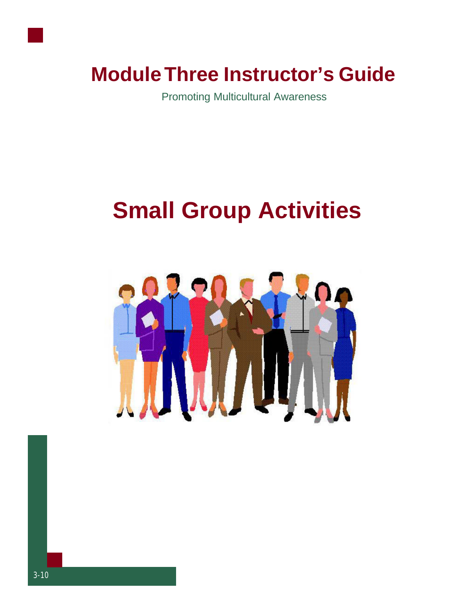## **Module Three Instructor's Guide**

Promoting Multicultural Awareness

## **Small Group Activities**

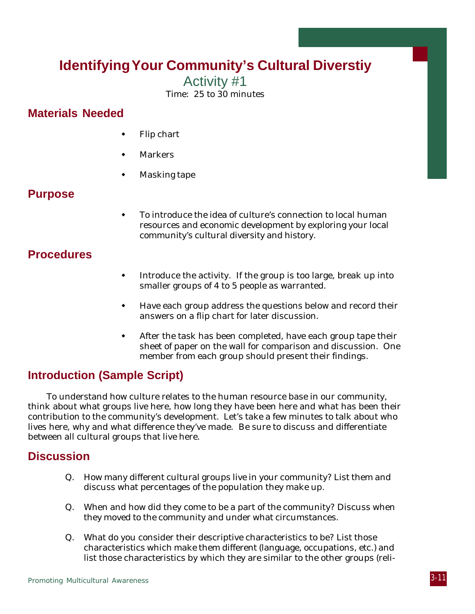## **Identifying Your Community's Cultural Diverstiy**

Activity #1

Time: 25 to 30 minutes

## **Materials Needed**

- Flip chart
- **Markers**
- Masking tape

## **Purpose**

To introduce the idea of culture's connection to local human resources and economic development by exploring your local community's cultural diversity and history.

## **Procedures**

- $\bullet$  Introduce the activity. If the group is too large, break up into smaller groups of 4 to 5 people as warranted.
- Have each group address the questions below and record their answers on a flip chart for later discussion.
- After the task has been completed, have each group tape their sheet of paper on the wall for comparison and discussion. One member from each group should present their findings.

## **Introduction (Sample Script)**

To understand how culture relates to the human resource base in our community, think about what groups live here, how long they have been here and what has been their contribution to the community's development. Let's take a few minutes to talk about who lives here, why and what difference they've made. Be sure to discuss and differentiate between all cultural groups that live here.

## **Discussion**

- Q. How many different cultural groups live in your community? List them and discuss what percentages of the population they make up.
- Q. When and how did they come to be a part of the community? Discuss when they moved to the community and under what circumstances.
- Q. What do you consider their descriptive characteristics to be? List those characteristics which make them different (language, occupations, etc.) and list those characteristics by which they are similar to the other groups (reli-